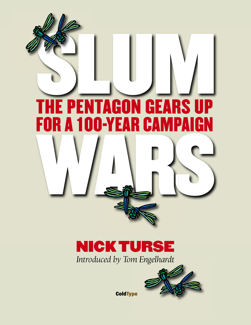

## *Introduced by Tom Engelhardt* **NICKTURSE**



**ColdType**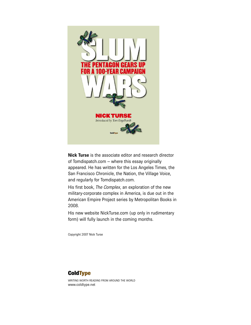

**Nick Turse** is the associate editor and research director of Tomdispatch.com – where this essay originally appeared. He has written for the Los Angeles Times, the San Francisco Chronicle, the Nation, the Village Voice, and regularly for Tomdispatch.com.

His first book, *The Complex*, an exploration of the new military-corporate complex in America, is due out in the American Empire Project series by Metropolitan Books in 2008.

His new website NickTurse.com (up only in rudimentary form) will fully launch in the coming months.

Copyright 2007 Nick Turse

#### **ColdType**

WRITING WORTH READING FROM AROUND THE WORLD www.coldtype.net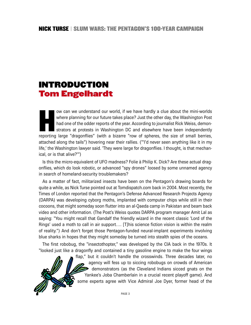## **INTRODUCTION Tom Engelhardt**

**H** ow can we understand our world, if we have hardly a clue about the mini-worlds where planning for our future takes place? Just the other day, the Washington Post had one of the odder reports of the year. According to journalist Rick Weiss, demonstrators at protests in Washington DC and elsewhere have been independently reporting large "dragonflies" (with a bizarre "row of spheres, the size of small berries, attached along the tails") hovering near their rallies. ("'I'd never seen anything like it in my life,' the Washington lawyer said. 'They were large for dragonflies. I thought, is that mechanical, or is that alive?'")

Is this the micro-equivalent of UFO madness? Folie à Philip K. Dick? Are these actual dragonflies, which do look robotic, or advanced "spy drones" loosed by some unnamed agency in search of homeland-security troublemakers?

As a matter of fact, militarized insects have been on the Pentagon's drawing boards for quite a while, as Nick Turse pointed out at Tomdispatch.com back in 2004. Most recently, the Times of London reported that the Pentagon's Defense Advanced Research Projects Agency (DARPA) was developing cyborg moths, implanted with computer chips while still in their cocoons, that might someday soon flutter into an al-Qaeda camp in Pakistan and beam back video and other information. (The Post's Weiss quotes DARPA program manager Amit Lal as saying: "You might recall that Gandalf the friendly wizard in the recent classic 'Lord of the Rings' used a moth to call in air support…. [T]his science fiction vision is within the realm of reality.") And don't forget those Pentagon-funded neural-implant experiments involving blue sharks in hopes that they might someday be turned into stealth spies of the oceans.

The first robobug, the "insectothopter," was developed by the CIA back in the 1970s. It "looked just like a dragonfly and contained a tiny gasoline engine to make the four wings

> flap," but it couldn't handle the crosswinds. Three decades later, no agency will fess up to siccing robobugs on crowds of American demonstrators (as the Cleveland Indians sicced gnats on the Yankee's Joba Chamberlain in a crucial recent playoff game). And some experts agree with Vice Admiral Joe Dyer, former head of the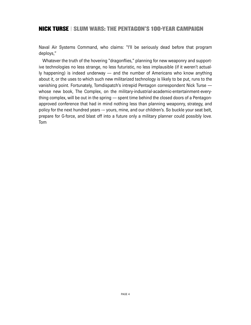Naval Air Systems Command, who claims: "I'll be seriously dead before that program deploys,"

Whatever the truth of the hovering "dragonflies," planning for new weaponry and supportive technologies no less strange, no less futuristic, no less implausible (if it weren't actually happening) is indeed underway — and the number of Americans who know anything about it, or the uses to which such new militarized technology is likely to be put, runs to the vanishing point. Fortunately, Tomdispatch's intrepid Pentagon correspondent Nick Turse whose new book, The Complex, on the military-industrial-academic-entertainment-everything complex, will be out in the spring — spent time behind the closed doors of a Pentagonapproved conference that had in mind nothing less than planning weaponry, strategy, and policy for the next hundred years -– yours, mine, and our children's. So buckle your seat belt, prepare for G-force, and blast off into a future only a military planner could possibly love. Tom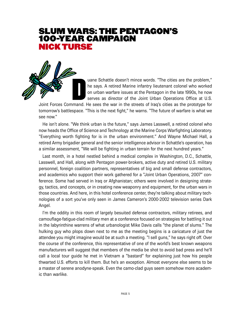### **SLUM WARS: THE PENTAGON'S 100-YEAR CAMPAIGN NICKTURSE**



uane Schattle doesn't mince words. "The cities are the problem," he says. A retired Marine infantry lieutenant colonel who worked on urban warfare issues at the Pentagon in the late 1990s, he now serves as director of the Joint Urban Operations Office at U.S.

Joint Forces Command. He sees the war in the streets of Iraq's cities as the prototype for tomorrow's battlespace. "This is the next fight," he warns. "The future of warfare is what we see now."

He isn't alone. "We think urban is the future," says James Lasswell, a retired colonel who now heads the Office of Science and Technology at the Marine Corps Warfighting Laboratory. "Everything worth fighting for is in the urban environment." And Wayne Michael Hall, a retired Army brigadier general and the senior intelligence advisor in Schattle's operation, has a similar assessment, "We will be fighting in urban terrain for the next hundred years."

Last month, in a hotel nestled behind a medical complex in Washington, D.C., Schattle, Lasswell, and Hall, along with Pentagon power-brokers, active duty and retired U.S. military personnel, foreign coalition partners, representatives of big and small defense contractors, and academics who support their work gathered for a "Joint Urban Operations, 2007" conference. Some had served in Iraq or Afghanistan; others were involved in designing strategy, tactics, and concepts, or in creating new weaponry and equipment, for the urban wars in those countries. And here, in this hotel conference center, they're talking about military technologies of a sort you've only seen in James Cameron's 2000-2002 television series Dark Angel.

I'm the oddity in this room of largely besuited defense contractors, military retirees, and camouflage-fatigue-clad military men at a conference focused on strategies for battling it out in the labyrinthine warrens of what urbanologist Mike Davis calls "the planet of slums." The hulking guy who plops down next to me as the meeting begins is a caricature of just the attendee you might imagine would be at such a meeting. "I sell guns," he says right off. Over the course of the conference, this representative of one of the world's best known weapons manufacturers will suggest that members of the media be shot to avoid bad press and he'll call a local tour guide he met in Vietnam a "bastard" for explaining just how his people thwarted U.S. efforts to kill them. But he's an exception. Almost everyone else seems to be a master of serene anodyne-speak. Even the camo-clad guys seem somehow more academic than warlike.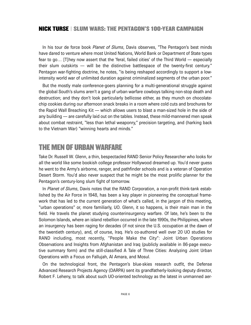In his tour de force book *Planet of Slums*, Davis observes, "The Pentagon's best minds have dared to venture where most United Nations, World Bank or Department of State types fear to go… [T]hey now assert that the 'feral, failed cities' of the Third World — especially their slum outskirts — will be the distinctive battlespace of the twenty-first century." Pentagon war-fighting doctrine, he notes, "is being reshaped accordingly to support a lowintensity world war of unlimited duration against criminalized segments of the urban poor."

But the mostly male conference-goers planning for a multi-generational struggle against the global South's slums aren't a gang of urban warfare cowboys talking non-stop death and destruction; and they don't look particularly bellicose either, as they munch on chocolatechip cookies during our afternoon snack breaks in a room where cold cuts and brochures for the Rapid Wall Breaching Kit — which allows users to blast a man-sized hole in the side of any building — are carefully laid out on the tables. Instead, these mild-mannered men speak about combat restraint, "less than lethal weaponry," precision targeting, and (harking back to the Vietnam War) "winning hearts and minds."

#### **THE MEN OF URBAN WARFARE**

Take Dr. Russell W. Glenn, a thin, bespectacled RAND Senior Policy Researcher who looks for all the world like some bookish college professor Hollywood dreamed up. You'd never guess he went to the Army's airborne, ranger, and pathfinder schools and is a veteran of Operation Desert Storm. You'd also never suspect that he might be the most prolific planner for the Pentagon's century-long slum fight of tomorrow.

In *Planet of Slums*, Davis notes that the RAND Corporation, a non-profit think-tank established by the Air Force in 1948, has been a key player in pioneering the conceptual framework that has led to the current generation of what's called, in the jargon of this meeting, "urban operations" or, more familiarly, UO. Glenn, it so happens, is their main man in the field. He travels the planet studying counterinsurgency warfare. Of late, he's been to the Solomon Islands, where an island rebellion occurred in the late 1990s, the Philippines, where an insurgency has been raging for decades (if not since the U.S. occupation at the dawn of the twentieth century), and, of course, Iraq. He's co-authored well over 20 UO studies for RAND including, most recently, ''People Make the City": Joint Urban Operations Observations and Insights from Afghanistan and Iraq (publicly available in 86-page executive summary form) and the still-classified A Tale of Three Cities: Analyzing Joint Urban Operations with a Focus on Fallujah, Al Amara, and Mosul.

On the technological front, the Pentagon's blue-skies research outfit, the Defense Advanced Research Projects Agency (DARPA) sent its grandfatherly-looking deputy director, Robert F. Leheny, to talk about such UO-oriented technology as the latest in unmanned aer-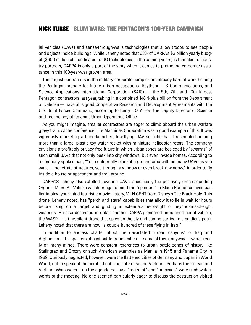ial vehicles (UAVs) and sense-through-walls technologies that allow troops to see people and objects inside buildings. While Leheny noted that 63% of DARPA's \$3 billion yearly budget (\$600 million of it dedicated to UO technologies in the coming years) is funneled to industry partners, DARPA is only a part of the story when it comes to promoting corporate assistance in this 100-year-war growth area.

The largest contractors in the military-corporate complex are already hard at work helping the Pentagon prepare for future urban occupations. Raytheon, L-3 Communications, and Science Applications International Corporation (SAIC) — the 5th, 7th, and 10th largest Pentagon contractors last year, taking in a combined \$18.4-plus billion from the Department of Defense — have all signed Cooperative Research and Development Agreements with the U.S. Joint Forces Command, according to Berry "Dan" Fox, the Deputy Director of Science and Technology at its Joint Urban Operations Office.

As you might imagine, smaller contractors are eager to climb aboard the urban warfare gravy train. At the conference, Lite Machines Corporation was a good example of this. It was vigorously marketing a hand-launched, low-flying UAV so light that it resembled nothing more than a large, plastic toy water rocket with miniature helicopter rotors. The company envisions a profitably privacy-free future in which urban zones are besieged by "swarms" of such small UAVs that not only peek into city windows, but even invade homes. According to a company spokesman, "You could really blanket a ground area with as many UAVs as you want…. penetrate structures, see through a window or even break a window," in order to fly inside a house or apartment and troll around.

DARPA'S Leheny also extolled hovering UAVs, specifically the positively green-sounding Organic Micro Air Vehicle which brings to mind the "spinners" in Blade Runner or, even earlier in blow-your-mind futuristic movie history, V.I.N.CENT from Disney's The Black Hole. This drone, Leheny noted, has "perch and stare" capabilities that allow it to lie in wait for hours before fixing on a target and guiding in extended-line-of-sight or beyond-line-of-sight weapons. He also described in detail another DARPA-pioneered unmanned aerial vehicle, the WASP — a tiny, silent drone that spies on the sly and can be carried in a soldier's pack. Leheny noted that there are now "a couple hundred of these flying in Iraq."

In addition to endless chatter about the devastated "urban canyons" of Iraq and Afghanistan, the specters of past battleground cities — some of them, anyway — were clearly on many minds. There were constant references to urban battle zones of history like Stalingrad and Grozny or such American examples as Manila in 1945 and Panama City in 1989. Curiously neglected, however, were the flattened cities of Germany and Japan in World War II, not to speak of the bombed-out cities of Korea and Vietnam. Perhaps the Korean and Vietnam Wars weren't on the agenda because "restraint" and "precision" were such watchwords of the meeting. No one seemed particularly eager to discuss the destruction visited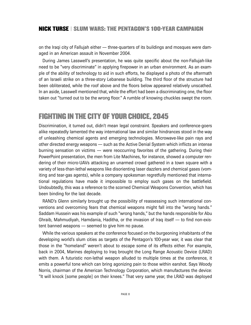on the Iraqi city of Fallujah either — three-quarters of its buildings and mosques were damaged in an American assault in November 2004.

During James Lasswell's presentation, he was quite specific about the non-Fallujah-like need to be "very discriminate" in applying firepower in an urban environment. As an example of the ability of technology to aid in such efforts, he displayed a photo of the aftermath of an Israeli strike on a three-story Lebanese building. The third floor of the structure had been obliterated, while the roof above and the floors below appeared relatively unscathed. In an aside, Lasswell mentioned that, while the effort had been a discriminating one, the floor taken out "turned out to be the wrong floor." A rumble of knowing chuckles swept the room.

## **FIGHTING IN THE CITY OF YOUR CHOICE, 2045**

Discrimination, it turned out, didn't mean legal constraint. Speakers and conference-goers alike repeatedly lamented the way international law and similar hindrances stood in the way of unleashing chemical agents and emerging technologies. Microwave-like pain rays and other directed energy weapons — such as the Active Denial System which inflicts an intense burning sensation on victims — were reoccurring favorites of the gathering. During their PowerPoint presentation, the men from Lite Machines, for instance, showed a computer rendering of their micro-UAVs attacking an unarmed crowd gathered in a town square with a variety of less-than-lethal weapons like disorienting laser dazzlers and chemical gases (vomiting and tear-gas agents), while a company spokesman regretfully mentioned that international regulations have made it impossible to employ such gases on the battlefield. Undoubtedly, this was a reference to the scorned Chemical Weapons Convention, which has been binding for the last decade.

RAND's Glenn similarly brought up the possibility of reassessing such international conventions and overcoming fears that chemical weapons might fall into the "wrong hands." Saddam Hussein was his example of such "wrong hands," but the hands responsible for Abu Ghraib, Mahmudiyah, Hamdania, Haditha, or the invasion of Iraq itself — to find non-existent banned weapons — seemed to give him no pause.

While the various speakers at the conference focused on the burgeoning inhabitants of the developing world's slum cities as targets of the Pentagon's 100-year war, it was clear that those in the "homeland" weren't about to escape some of its effects either. For example, back in 2004, Marines deploying to Iraq brought the Long Range Acoustic Device (LRAD) with them. A futuristic non-lethal weapon alluded to multiple times at the conference, it emits a powerful tone which can bring agonizing pain to those within earshot. Says Woody Norris, chairman of the American Technology Corporation, which manufactures the device: "It will knock [some people] on their knees." That very same year, the LRAD was deployed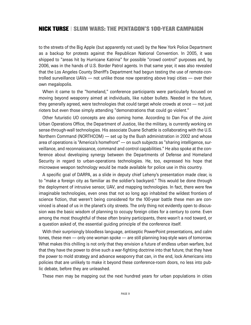to the streets of the Big Apple (but apparently not used) by the New York Police Department as a backup for protests against the Republican National Convention. In 2005, it was shipped to "areas hit by Hurricane Katrina" for possible "crowd control" purposes and, by 2006, was in the hands of U.S. Border Patrol agents. In that same year, it was also revealed that the Los Angeles County Sheriff's Department had begun testing the use of remote-controlled surveillance UAVs — not unlike those now operating above Iraqi cities — over their own megalopolis.

When it came to the "homeland," conference participants were particularly focused on moving beyond weaponry aimed at individuals, like rubber bullets. Needed in the future, they generally agreed, were technologies that could target whole crowds at once — not just rioters but even those simply attending "demonstrations that could go violent."

Other futuristic UO concepts are also coming home. According to Dan Fox of the Joint Urban Operations Office, the Department of Justice, like the military, is currently working on sense-through-wall technologies. His associate Duane Schattle is collaborating with the U.S. Northern Command (NORTHCOM) — set up by the Bush administration in 2002 and whose area of operations is "America's homefront" — on such subjects as "sharing intelligence, surveillance, and reconnaissance, command and control capabilities." He also spoke at the conference about developing synergy between the Departments of Defense and Homeland Security in regard to urban-operations technologies. He, too, expressed his hope that microwave weapon technology would be made available for police use in this country.

A specific goal of DARPA, as a slide in deputy chief Leheny's presentation made clear, is to "make a foreign city as familiar as the soldier's backyard." This would be done through the deployment of intrusive sensor, UAV, and mapping technologies. In fact, there were few imaginable technologies, even ones that not so long ago inhabited the wildest frontiers of science fiction, that weren't being considered for the 100-year battle these men are convinced is ahead of us in the planet's city streets. The only thing not evidently open to discussion was the basic wisdom of planning to occupy foreign cities for a century to come. Even among the most thoughtful of these often brainy participants, there wasn't a nod toward, or a question asked of, the essential guiding principle of the conference itself.

With their surprisingly bloodless language, antiseptic PowerPoint presentations, and calm tones, these men — only one woman spoke — are still planning Iraq-style wars of tomorrow. What makes this chilling is not only that they envision a future of endless urban warfare, but that they have the power to drive such a war-fighting doctrine into that future; that they have the power to mold strategy and advance weaponry that can, in the end, lock Americans into policies that are unlikely to make it beyond these conference-room doors, no less into public debate, before they are unleashed.

These men may be mapping out the next hundred years for urban populations in cities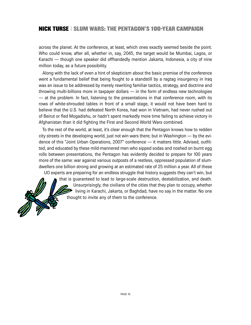across the planet. At the conference, at least, which ones exactly seemed beside the point. Who could know, after all, whether in, say, 2045, the target would be Mumbai, Lagos, or Karachi — though one speaker did offhandedly mention Jakarta, Indonesia, a city of nine million today, as a future possibility.

Along with the lack of even a hint of skepticism about the basic premise of the conference went a fundamental belief that being fought to a standstill by a ragtag insurgency in Iraq was an issue to be addressed by merely rewriting familiar tactics, strategy, and doctrine and throwing multi-billions more in taxpayer dollars — in the form of endless new technologies — at the problem. In fact, listening to the presentations in that conference room, with its rows of white-shrouded tables in front of a small stage, it would not have been hard to believe that the U.S. had defeated North Korea, had won in Vietnam, had never rushed out of Beirut or fled Mogadishu, or hadn't spent markedly more time failing to achieve victory in Afghanistan than it did fighting the First and Second World Wars combined.

To the rest of the world, at least, it's clear enough that the Pentagon knows how to redden city streets in the developing world, just not win wars there; but in Washington — by the evidence of this "Joint Urban Operations, 2007" conference — it matters little. Advised, outfitted, and educated by these mild-mannered men who sipped sodas and noshed on burnt egg rolls between presentations, the Pentagon has evidently decided to prepare for 100 years more of the same: war against various outposts of a restless, oppressed population of slumdwellers one billion strong and growing at an estimated rate of 25 million a year. All of these

UO experts are preparing for an endless struggle that history suggests they can't win, but that is guaranteed to lead to large-scale destruction, destabilization, and death. Unsurprisingly, the civilians of the cities that they plan to occupy, whether living in Karachi, Jakarta, or Baghdad, have no say in the matter. No one thought to invite any of them to the conference.